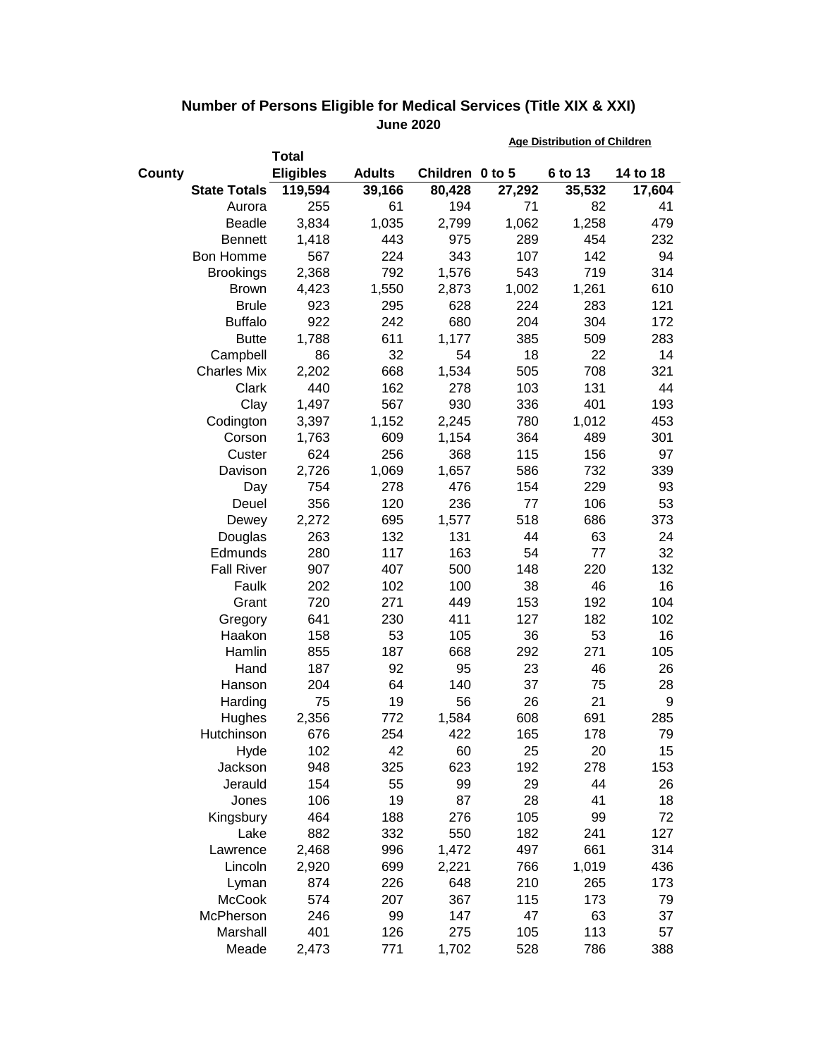|                     |                  |               |                 | <b>Age Distribution of Children</b> |         |          |  |
|---------------------|------------------|---------------|-----------------|-------------------------------------|---------|----------|--|
|                     | <b>Total</b>     |               |                 |                                     |         |          |  |
| <b>County</b>       | <b>Eligibles</b> | <b>Adults</b> | Children 0 to 5 |                                     | 6 to 13 | 14 to 18 |  |
| <b>State Totals</b> | 119,594          | 39,166        | 80,428          | 27,292                              | 35,532  | 17,604   |  |
| Aurora              | 255              | 61            | 194             | 71                                  | 82      | 41       |  |
| Beadle              | 3,834            | 1,035         | 2,799           | 1,062                               | 1,258   | 479      |  |
| <b>Bennett</b>      | 1,418            | 443           | 975             | 289                                 | 454     | 232      |  |
| Bon Homme           | 567              | 224           | 343             | 107                                 | 142     | 94       |  |
| <b>Brookings</b>    | 2,368            | 792           | 1,576           | 543                                 | 719     | 314      |  |
| <b>Brown</b>        | 4,423            | 1,550         | 2,873           | 1,002                               | 1,261   | 610      |  |
| <b>Brule</b>        | 923              | 295           | 628             | 224                                 | 283     | 121      |  |
| <b>Buffalo</b>      | 922              | 242           | 680             | 204                                 | 304     | 172      |  |
| <b>Butte</b>        | 1,788            | 611           | 1,177           | 385                                 | 509     | 283      |  |
| Campbell            | 86               | 32            | 54              | 18                                  | 22      | 14       |  |
| <b>Charles Mix</b>  | 2,202            | 668           | 1,534           | 505                                 | 708     | 321      |  |
| Clark               | 440              | 162           | 278             | 103                                 | 131     | 44       |  |
| Clay                | 1,497            | 567           | 930             | 336                                 | 401     | 193      |  |
| Codington           | 3,397            | 1,152         | 2,245           | 780                                 | 1,012   | 453      |  |
| Corson              | 1,763            | 609           | 1,154           | 364                                 | 489     | 301      |  |
| Custer              | 624              | 256           | 368             | 115                                 | 156     | 97       |  |
| Davison             | 2,726            | 1,069         | 1,657           | 586                                 | 732     | 339      |  |
| Day                 | 754              | 278           | 476             | 154                                 | 229     | 93       |  |
| Deuel               | 356              | 120           | 236             | 77                                  | 106     | 53       |  |
| Dewey               | 2,272            | 695           | 1,577           | 518                                 | 686     | 373      |  |
| Douglas             | 263              | 132           | 131             | 44                                  | 63      | 24       |  |
| Edmunds             | 280              | 117           | 163             | 54                                  | 77      | 32       |  |
| <b>Fall River</b>   | 907              | 407           | 500             | 148                                 | 220     | 132      |  |
| Faulk               | 202              | 102           | 100             | 38                                  | 46      | 16       |  |
| Grant               | 720              | 271           | 449             | 153                                 | 192     | 104      |  |
| Gregory             | 641              | 230           | 411             | 127                                 | 182     | 102      |  |
| Haakon              | 158              | 53            | 105             | 36                                  | 53      | 16       |  |
| Hamlin              | 855              | 187           | 668             | 292                                 | 271     | 105      |  |
| Hand                | 187              | 92            | 95              | 23                                  | 46      | 26       |  |
| Hanson              | 204              | 64            | 140             | 37                                  | 75      | 28       |  |
| Harding             | 75               | 19            | 56              | 26                                  | 21      | 9        |  |
| Hughes              | 2,356            | 772           | 1,584           | 608                                 | 691     | 285      |  |
| Hutchinson          | 676              | 254           | 422             | 165                                 | 178     | 79       |  |
| Hyde                | 102              | 42            | 60              | 25                                  | 20      | 15       |  |
| Jackson             | 948              | 325           | 623             | 192                                 | 278     | 153      |  |
| Jerauld             | 154              | 55            | 99              | 29                                  | 44      | 26       |  |
| Jones               | 106              | 19            | 87              | 28                                  | 41      | 18       |  |
| Kingsbury           | 464              | 188           | 276             | 105                                 | 99      | 72       |  |
| Lake                | 882              | 332           | 550             | 182                                 | 241     | 127      |  |
| Lawrence            | 2,468            | 996           | 1,472           | 497                                 | 661     | 314      |  |
| Lincoln             | 2,920            | 699           | 2,221           | 766                                 | 1,019   | 436      |  |
| Lyman               | 874              | 226           | 648             | 210                                 | 265     | 173      |  |
| <b>McCook</b>       | 574              | 207           | 367             | 115                                 | 173     | 79       |  |
| McPherson           | 246              | 99            | 147             | 47                                  | 63      | 37       |  |
| Marshall            | 401              | 126           | 275             | 105                                 | 113     | 57       |  |
| Meade               | 2,473            | 771           | 1,702           | 528                                 | 786     | 388      |  |

## **Number of Persons Eligible for Medical Services (Title XIX & XXI) June 2020**